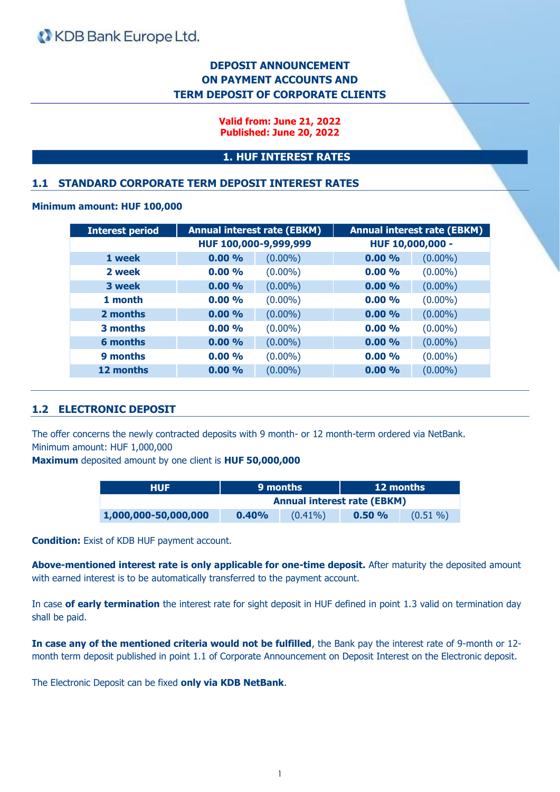# **DEPOSIT ANNOUNCEMENT ON PAYMENT ACCOUNTS AND TERM DEPOSIT OF CORPORATE CLIENTS**

**Valid from: June 21, 2022 Published: June 20, 2022**

### **1. HUF INTEREST RATES**

### **1.1 STANDARD CORPORATE TERM DEPOSIT INTEREST RATES**

#### **Minimum amount: HUF 100,000**

| <b>Interest period</b> | <b>Annual interest rate (EBKM)</b> |            |                  | <b>Annual interest rate (EBKM)</b> |
|------------------------|------------------------------------|------------|------------------|------------------------------------|
|                        | HUF 100,000-9,999,999              |            | HUF 10,000,000 - |                                    |
| 1 week                 | 0.00%                              | $(0.00\%)$ | 0.00%            | $(0.00\%)$                         |
| 2 week                 | 0.00%                              | $(0.00\%)$ | 0.00%            | $(0.00\%)$                         |
| 3 week                 | 0.00%                              | $(0.00\%)$ | 0.00%            | $(0.00\%)$                         |
| 1 month                | 0.00%                              | $(0.00\%)$ | 0.00%            | $(0.00\%)$                         |
| 2 months               | 0.00%                              | $(0.00\%)$ | 0.00%            | $(0.00\%)$                         |
| 3 months               | 0.00%                              | $(0.00\%)$ | 0.00%            | $(0.00\%)$                         |
| 6 months               | 0.00%                              | $(0.00\%)$ | 0.00%            | $(0.00\%)$                         |
| 9 months               | 0.00%                              | $(0.00\%)$ | 0.00%            | $(0.00\%)$                         |
| 12 months              | 0.00%                              | $(0.00\%)$ | 0.00%            | $(0.00\%)$                         |

### **1.2 ELECTRONIC DEPOSIT**

The offer concerns the newly contracted deposits with 9 month- or 12 month-term ordered via NetBank. Minimum amount: HUF 1,000,000

**Maximum** deposited amount by one client is **HUF 50,000,000**

| <b>HUF</b>           |                                    | 9 months   | <b>12 months</b> |             |
|----------------------|------------------------------------|------------|------------------|-------------|
|                      | <b>Annual interest rate (EBKM)</b> |            |                  |             |
| 1,000,000-50,000,000 | 0.40%                              | $(0.41\%)$ | $0.50 \%$        | $(0.51\% )$ |

**Condition:** Exist of KDB HUF payment account.

**Above-mentioned interest rate is only applicable for one-time deposit.** After maturity the deposited amount with earned interest is to be automatically transferred to the payment account.

In case **of early termination** the interest rate for sight deposit in HUF defined in point 1.3 valid on termination day shall be paid.

**In case any of the mentioned criteria would not be fulfilled**, the Bank pay the interest rate of 9-month or 12 month term deposit published in point 1.1 of Corporate Announcement on Deposit Interest on the Electronic deposit.

The Electronic Deposit can be fixed **only via KDB NetBank**.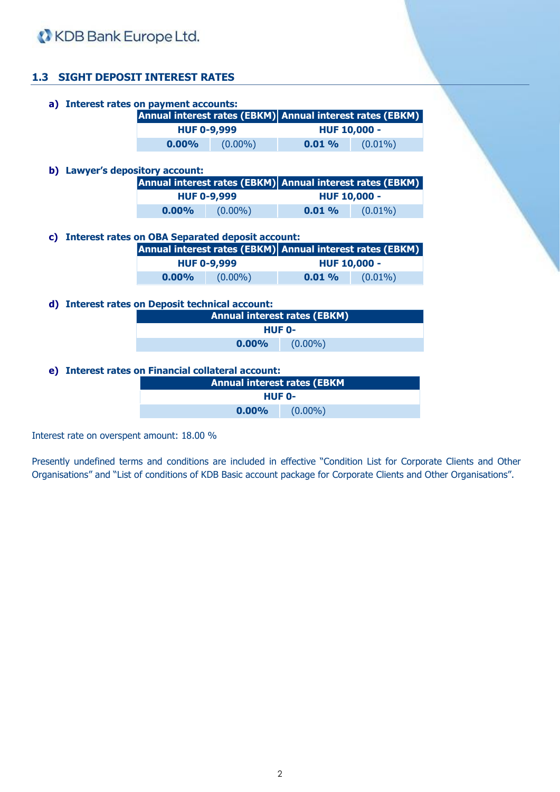

# **1.3 SIGHT DEPOSIT INTEREST RATES**

|    | a) Interest rates on payment accounts:              |                                                           |            |                                     |                                                           |  |
|----|-----------------------------------------------------|-----------------------------------------------------------|------------|-------------------------------------|-----------------------------------------------------------|--|
|    |                                                     | Annual interest rates (EBKM) Annual interest rates (EBKM) |            |                                     |                                                           |  |
|    |                                                     | <b>HUF 0-9,999</b>                                        |            | <b>HUF 10,000 -</b>                 |                                                           |  |
|    |                                                     | $0.00\%$                                                  | $(0.00\%)$ | 0.01%                               | $(0.01\%)$                                                |  |
|    |                                                     |                                                           |            |                                     |                                                           |  |
| b) | <b>Lawyer's depository account:</b>                 |                                                           |            |                                     |                                                           |  |
|    |                                                     |                                                           |            |                                     | Annual interest rates (EBKM) Annual interest rates (EBKM) |  |
|    |                                                     | <b>HUF 0-9,999</b>                                        |            | <b>HUF 10,000 -</b>                 |                                                           |  |
|    |                                                     | $0.00\%$                                                  | $(0.00\%)$ | 0.01%                               | $(0.01\%)$                                                |  |
|    |                                                     |                                                           |            |                                     |                                                           |  |
|    |                                                     |                                                           |            |                                     |                                                           |  |
| C) |                                                     | <b>Interest rates on OBA Separated deposit account:</b>   |            |                                     |                                                           |  |
|    |                                                     |                                                           |            |                                     | Annual interest rates (EBKM) Annual interest rates (EBKM) |  |
|    |                                                     | <b>HUF 0-9,999</b>                                        |            |                                     | <b>HUF 10,000 -</b>                                       |  |
|    |                                                     | $0.00\%$                                                  | $(0.00\%)$ | $0.01\%$                            | $(0.01\%)$                                                |  |
|    |                                                     |                                                           |            |                                     |                                                           |  |
| d) | <b>Interest rates on Deposit technical account:</b> |                                                           |            |                                     |                                                           |  |
|    |                                                     |                                                           |            | <b>Annual interest rates (EBKM)</b> |                                                           |  |
|    |                                                     |                                                           |            | <b>HUF 0-</b>                       |                                                           |  |

**e) Interest rates on Financial collateral account:**

| <b>Annual interest rates (EBKM</b> |            |  |  |  |
|------------------------------------|------------|--|--|--|
| HUF 0-                             |            |  |  |  |
| $0.00\%$                           | $(0.00\%)$ |  |  |  |

Interest rate on overspent amount: 18.00 %

Presently undefined terms and conditions are included in effective "Condition List for Corporate Clients and Other Organisations" and "List of conditions of KDB Basic account package for Corporate Clients and Other Organisations".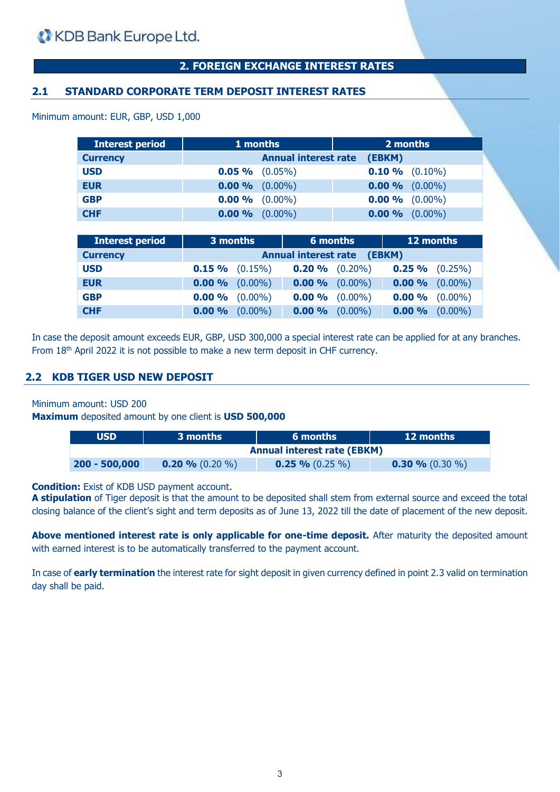Minimum amount: EUR, GBP, USD 1,000

# **2. FOREIGN EXCHANGE INTEREST RATES**

## **2.1 STANDARD CORPORATE TERM DEPOSIT INTEREST RATES**

| <b>Interest period</b> | 1 months            |                                       | 2 months                 |
|------------------------|---------------------|---------------------------------------|--------------------------|
| <b>Currency</b>        |                     | <b>Annual interest rate</b><br>(EBKM) |                          |
| <b>USD</b>             | $0.05 \%$ $(0.05%)$ |                                       | <b>0.10 %</b> $(0.10\%)$ |
| <b>EUR</b>             | $0.00\%$ (0.00%)    |                                       | $0.00\%$ (0.00%)         |
| <b>GBP</b>             | $0.00\%$ (0.00%)    |                                       | $0.00\%$ (0.00%)         |
| <b>CHF</b>             | $0.00\%$ $(0.00\%)$ |                                       | $0.00\%$ (0.00%)         |

| <b>Interest period</b> | 3 months                              |                     | 6 months            |            | 12 months           |            |
|------------------------|---------------------------------------|---------------------|---------------------|------------|---------------------|------------|
| <b>Currency</b>        | <b>Annual interest rate</b><br>(EBKM) |                     |                     |            |                     |            |
| <b>USD</b>             |                                       | $0.15 \%$ $(0.15%)$ | $0.20 \%$ $(0.20%)$ |            | $0.25 \%$ $(0.25%)$ |            |
| <b>EUR</b>             |                                       | $0.00\%$ (0.00%)    | $0.00 \%$           | $(0.00\%)$ | $0.00 \%$ (0.00%)   |            |
| <b>GBP</b>             |                                       | $0.00\%$ (0.00%)    | 0.00%               | $(0.00\%)$ | $0.00\%$ (0.00%)    |            |
| <b>CHF</b>             | 0.00%                                 | $(0.00\%)$          | 0.00%               | $(0.00\%)$ | 0.00%               | $(0.00\%)$ |

In case the deposit amount exceeds EUR, GBP, USD 300,000 a special interest rate can be applied for at any branches. From 18<sup>th</sup> April 2022 it is not possible to make a new term deposit in CHF currency.

### **2.2 KDB TIGER USD NEW DEPOSIT**

Minimum amount: USD 200

**Maximum** deposited amount by one client is **USD 500,000**

| <b>USD</b>      | 3 months                           | 6 months            | <b>12 months</b>        |  |  |  |
|-----------------|------------------------------------|---------------------|-------------------------|--|--|--|
|                 | <b>Annual interest rate (EBKM)</b> |                     |                         |  |  |  |
| $200 - 500,000$ | <b>0.20 %</b> $(0.20\%$            | $0.25 \% (0.25 \%)$ | <b>0.30 %</b> $(0.30\%$ |  |  |  |

**Condition:** Exist of KDB USD payment account.

**A stipulation** of Tiger deposit is that the amount to be deposited shall stem from external source and exceed the total closing balance of the client's sight and term deposits as of June 13, 2022 till the date of placement of the new deposit.

**Above mentioned interest rate is only applicable for one-time deposit.** After maturity the deposited amount with earned interest is to be automatically transferred to the payment account.

In case of **early termination** the interest rate for sight deposit in given currency defined in point 2.3 valid on termination day shall be paid.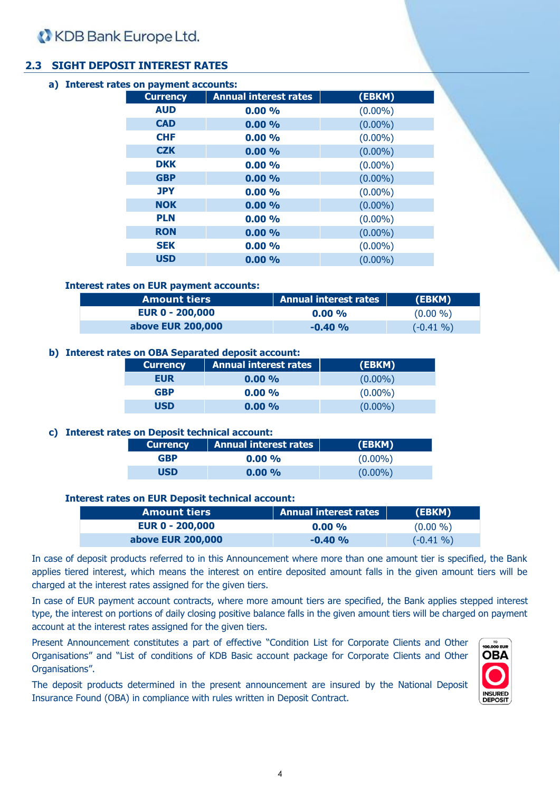# **2.3 SIGHT DEPOSIT INTEREST RATES**

|  |            | a) Interest rates on payment accounts: |                              |            |
|--|------------|----------------------------------------|------------------------------|------------|
|  |            | <b>Currency</b>                        | <b>Annual interest rates</b> | (EBKM)     |
|  |            | <b>AUD</b>                             | 0.00%                        | $(0.00\%)$ |
|  |            | <b>CAD</b>                             | 0.00%                        | $(0.00\%)$ |
|  |            | <b>CHF</b>                             | $0.00\%$                     | $(0.00\%)$ |
|  |            | <b>CZK</b>                             | $0.00\%$                     | $(0.00\%)$ |
|  |            | <b>DKK</b>                             | 0.00%                        | $(0.00\%)$ |
|  | <b>GBP</b> | $0.00\%$                               | $(0.00\%)$                   |            |
|  |            | <b>JPY</b>                             | 0.00%                        | $(0.00\%)$ |
|  |            | <b>NOK</b>                             | 0.00%                        | $(0.00\%)$ |
|  |            | <b>PLN</b>                             | $0.00\%$                     | $(0.00\%)$ |
|  |            | <b>RON</b>                             | $0.00\%$                     | $(0.00\%)$ |
|  |            | <b>SEK</b>                             | 0.00%                        | $(0.00\%)$ |
|  |            | <b>USD</b>                             | 0.00%                        | $(0.00\%)$ |
|  |            |                                        |                              |            |

### **Interest rates on EUR payment accounts:**

| <b>Amount tiers</b>    | <b>Annual interest rates</b> | (EBKM)      |
|------------------------|------------------------------|-------------|
| <b>EUR 0 - 200,000</b> | $0.00\%$                     | $(0.00\% )$ |
| above EUR 200,000      | $-0.40%$                     | $(-0.41\%)$ |

### **b) Interest rates on OBA Separated deposit account:**

| <b>Currency</b> | <b>Annual interest rates</b> | (EBKM)     |
|-----------------|------------------------------|------------|
| <b>EUR</b>      | $0.00\%$                     | $(0.00\%)$ |
| <b>GBP</b>      | $0.00\%$                     | $(0.00\%)$ |
| USD             | 0.00%                        | $(0.00\%)$ |

### **c) Interest rates on Deposit technical account:**

| <b>Currency</b> | <b>Annual interest rates</b> | (EBKM)     |
|-----------------|------------------------------|------------|
| <b>GBP</b>      | $0.00\%$                     | $(0.00\%)$ |
| <b>USD</b>      | $0.00\%$                     | $(0.00\%)$ |

#### **Interest rates on EUR Deposit technical account:**

| <b>Amount tiers</b>    | Annual interest rates | (EBKM)       |
|------------------------|-----------------------|--------------|
| <b>EUR 0 - 200,000</b> | $0.00\%$              | $(0.00\% )$  |
| above EUR 200,000      | $-0.40%$              | $(-0.41\% )$ |

In case of deposit products referred to in this Announcement where more than one amount tier is specified, the Bank applies tiered interest, which means the interest on entire deposited amount falls in the given amount tiers will be charged at the interest rates assigned for the given tiers.

In case of EUR payment account contracts, where more amount tiers are specified, the Bank applies stepped interest type, the interest on portions of daily closing positive balance falls in the given amount tiers will be charged on payment account at the interest rates assigned for the given tiers.

Present Announcement constitutes a part of effective "Condition List for Corporate Clients and Other Organisations" and "List of conditions of KDB Basic account package for Corporate Clients and Other Organisations".

The deposit products determined in the present announcement are insured by the National Deposit Insurance Found (OBA) in compliance with rules written in Deposit Contract.